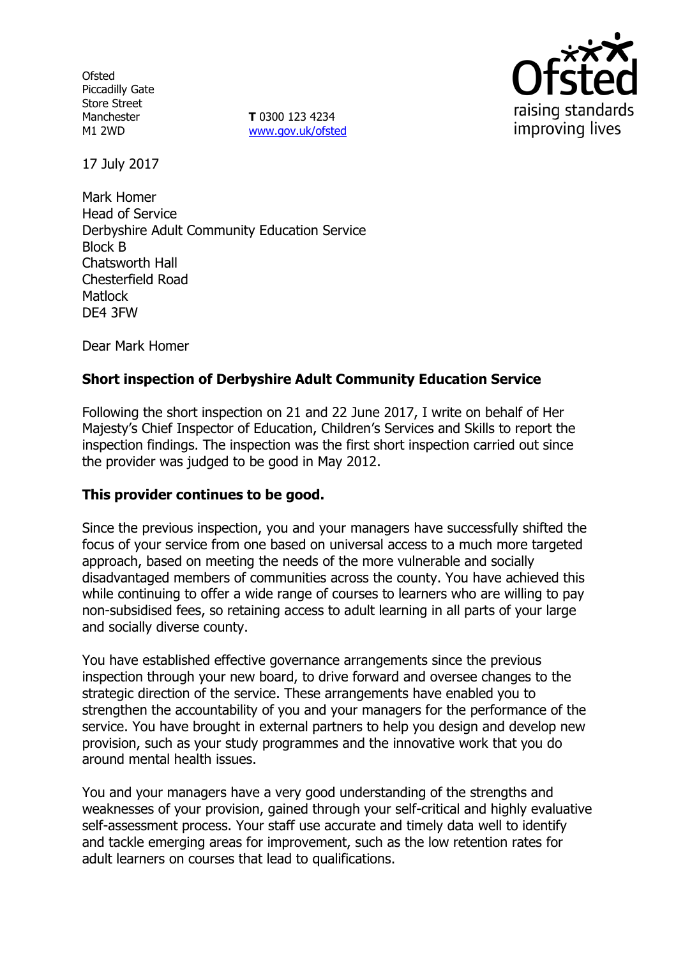**Ofsted** Piccadilly Gate Store Street Manchester M1 2WD

**T** 0300 123 4234 www.gov.uk/ofsted



17 July 2017

Mark Homer Head of Service Derbyshire Adult Community Education Service Block B Chatsworth Hall Chesterfield Road **Matlock** DE4 3FW

Dear Mark Homer

# **Short inspection of Derbyshire Adult Community Education Service**

Following the short inspection on 21 and 22 June 2017, I write on behalf of Her Majesty's Chief Inspector of Education, Children's Services and Skills to report the inspection findings. The inspection was the first short inspection carried out since the provider was judged to be good in May 2012.

## **This provider continues to be good.**

Since the previous inspection, you and your managers have successfully shifted the focus of your service from one based on universal access to a much more targeted approach, based on meeting the needs of the more vulnerable and socially disadvantaged members of communities across the county. You have achieved this while continuing to offer a wide range of courses to learners who are willing to pay non-subsidised fees, so retaining access to adult learning in all parts of your large and socially diverse county.

You have established effective governance arrangements since the previous inspection through your new board, to drive forward and oversee changes to the strategic direction of the service. These arrangements have enabled you to strengthen the accountability of you and your managers for the performance of the service. You have brought in external partners to help you design and develop new provision, such as your study programmes and the innovative work that you do around mental health issues.

You and your managers have a very good understanding of the strengths and weaknesses of your provision, gained through your self-critical and highly evaluative self-assessment process. Your staff use accurate and timely data well to identify and tackle emerging areas for improvement, such as the low retention rates for adult learners on courses that lead to qualifications.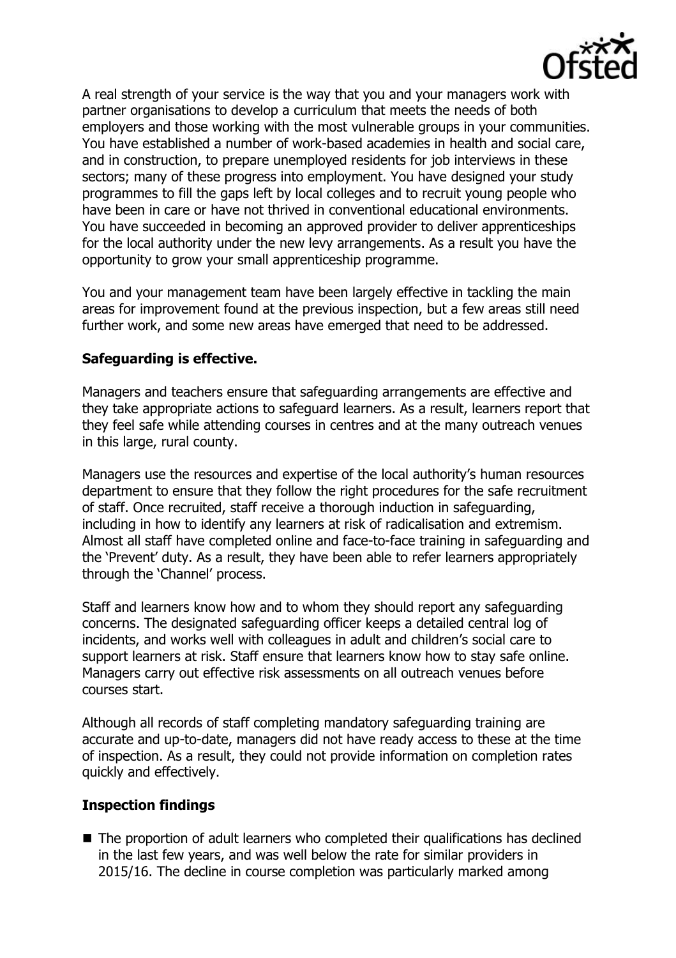

A real strength of your service is the way that you and your managers work with partner organisations to develop a curriculum that meets the needs of both employers and those working with the most vulnerable groups in your communities. You have established a number of work-based academies in health and social care, and in construction, to prepare unemployed residents for job interviews in these sectors; many of these progress into employment. You have designed your study programmes to fill the gaps left by local colleges and to recruit young people who have been in care or have not thrived in conventional educational environments. You have succeeded in becoming an approved provider to deliver apprenticeships for the local authority under the new levy arrangements. As a result you have the opportunity to grow your small apprenticeship programme.

You and your management team have been largely effective in tackling the main areas for improvement found at the previous inspection, but a few areas still need further work, and some new areas have emerged that need to be addressed.

# **Safeguarding is effective.**

Managers and teachers ensure that safeguarding arrangements are effective and they take appropriate actions to safeguard learners. As a result, learners report that they feel safe while attending courses in centres and at the many outreach venues in this large, rural county.

Managers use the resources and expertise of the local authority's human resources department to ensure that they follow the right procedures for the safe recruitment of staff. Once recruited, staff receive a thorough induction in safeguarding, including in how to identify any learners at risk of radicalisation and extremism. Almost all staff have completed online and face-to-face training in safeguarding and the 'Prevent' duty. As a result, they have been able to refer learners appropriately through the 'Channel' process.

Staff and learners know how and to whom they should report any safeguarding concerns. The designated safeguarding officer keeps a detailed central log of incidents, and works well with colleagues in adult and children's social care to support learners at risk. Staff ensure that learners know how to stay safe online. Managers carry out effective risk assessments on all outreach venues before courses start.

Although all records of staff completing mandatory safeguarding training are accurate and up-to-date, managers did not have ready access to these at the time of inspection. As a result, they could not provide information on completion rates quickly and effectively.

## **Inspection findings**

■ The proportion of adult learners who completed their qualifications has declined in the last few years, and was well below the rate for similar providers in 2015/16. The decline in course completion was particularly marked among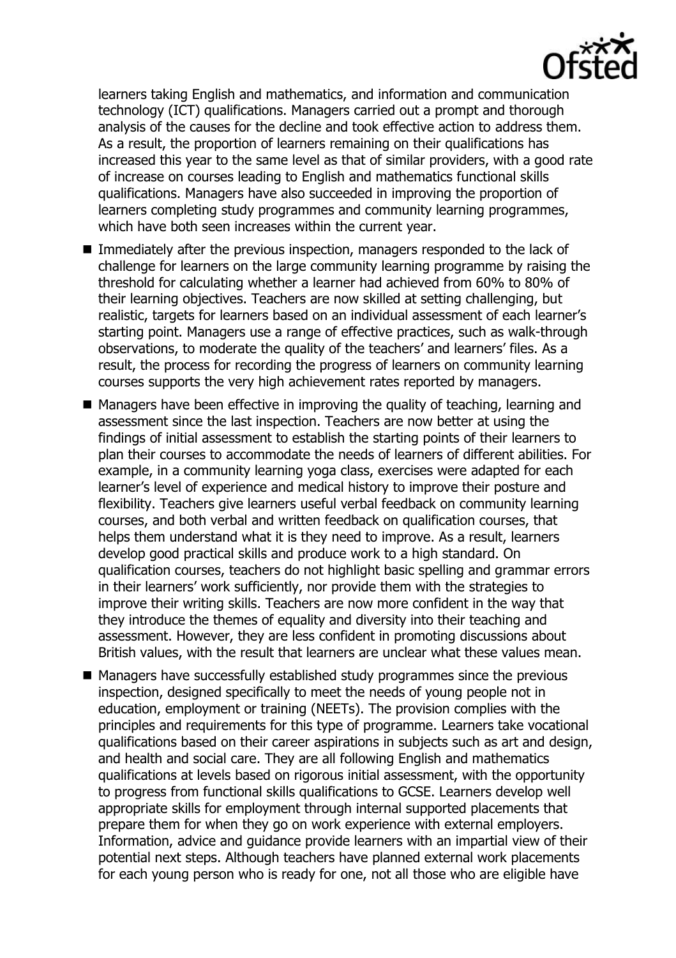

learners taking English and mathematics, and information and communication technology (ICT) qualifications. Managers carried out a prompt and thorough analysis of the causes for the decline and took effective action to address them. As a result, the proportion of learners remaining on their qualifications has increased this year to the same level as that of similar providers, with a good rate of increase on courses leading to English and mathematics functional skills qualifications. Managers have also succeeded in improving the proportion of learners completing study programmes and community learning programmes, which have both seen increases within the current year.

- Immediately after the previous inspection, managers responded to the lack of challenge for learners on the large community learning programme by raising the threshold for calculating whether a learner had achieved from 60% to 80% of their learning objectives. Teachers are now skilled at setting challenging, but realistic, targets for learners based on an individual assessment of each learner's starting point. Managers use a range of effective practices, such as walk-through observations, to moderate the quality of the teachers' and learners' files. As a result, the process for recording the progress of learners on community learning courses supports the very high achievement rates reported by managers.
- $\blacksquare$  Managers have been effective in improving the quality of teaching, learning and assessment since the last inspection. Teachers are now better at using the findings of initial assessment to establish the starting points of their learners to plan their courses to accommodate the needs of learners of different abilities. For example, in a community learning yoga class, exercises were adapted for each learner's level of experience and medical history to improve their posture and flexibility. Teachers give learners useful verbal feedback on community learning courses, and both verbal and written feedback on qualification courses, that helps them understand what it is they need to improve. As a result, learners develop good practical skills and produce work to a high standard. On qualification courses, teachers do not highlight basic spelling and grammar errors in their learners' work sufficiently, nor provide them with the strategies to improve their writing skills. Teachers are now more confident in the way that they introduce the themes of equality and diversity into their teaching and assessment. However, they are less confident in promoting discussions about British values, with the result that learners are unclear what these values mean.
- Managers have successfully established study programmes since the previous inspection, designed specifically to meet the needs of young people not in education, employment or training (NEETs). The provision complies with the principles and requirements for this type of programme. Learners take vocational qualifications based on their career aspirations in subjects such as art and design, and health and social care. They are all following English and mathematics qualifications at levels based on rigorous initial assessment, with the opportunity to progress from functional skills qualifications to GCSE. Learners develop well appropriate skills for employment through internal supported placements that prepare them for when they go on work experience with external employers. Information, advice and guidance provide learners with an impartial view of their potential next steps. Although teachers have planned external work placements for each young person who is ready for one, not all those who are eligible have